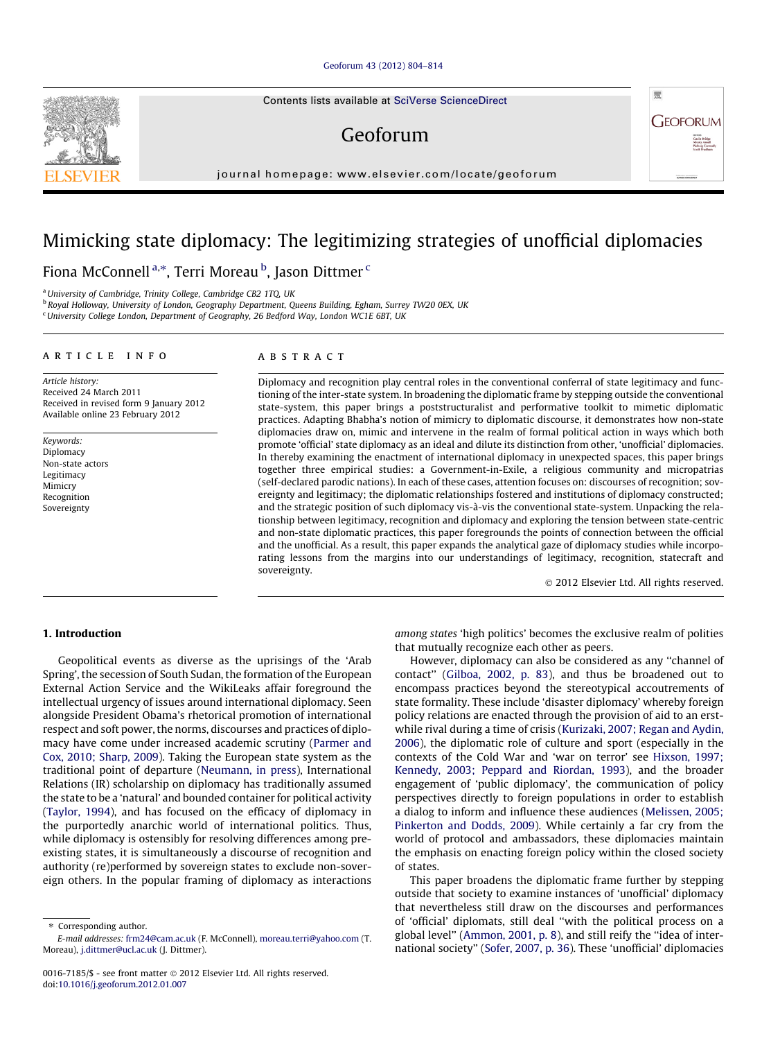## [Geoforum 43 \(2012\) 804–814](http://dx.doi.org/10.1016/j.geoforum.2012.01.007)

Contents lists available at [SciVerse ScienceDirect](http://www.sciencedirect.com/science/journal/00167185)

## Geoforum

journal homepage: [www.elsevier.com/locate/geoforum](http://www.elsevier.com/locate/geoforum)

# Mimicking state diplomacy: The legitimizing strategies of unofficial diplomacies

Fiona McConnell <sup>a,</sup>\*, Terri Moreau <sup>b</sup>, Jason Dittmer <sup>c</sup>

<sup>a</sup> University of Cambridge, Trinity College, Cambridge CB2 1TQ, UK

<sup>b</sup> Royal Holloway, University of London, Geography Department, Queens Building, Egham, Surrey TW20 0EX, UK

<sup>c</sup> University College London, Department of Geography, 26 Bedford Way, London WC1E 6BT, UK

#### article info

Article history: Received 24 March 2011 Received in revised form 9 January 2012 Available online 23 February 2012

Keywords: Diplomacy Non-state actors Legitimacy Mimicry Recognition Sovereignty

#### ABSTRACT

Diplomacy and recognition play central roles in the conventional conferral of state legitimacy and functioning of the inter-state system. In broadening the diplomatic frame by stepping outside the conventional state-system, this paper brings a poststructuralist and performative toolkit to mimetic diplomatic practices. Adapting Bhabha's notion of mimicry to diplomatic discourse, it demonstrates how non-state diplomacies draw on, mimic and intervene in the realm of formal political action in ways which both promote 'official' state diplomacy as an ideal and dilute its distinction from other, 'unofficial' diplomacies. In thereby examining the enactment of international diplomacy in unexpected spaces, this paper brings together three empirical studies: a Government-in-Exile, a religious community and micropatrias (self-declared parodic nations). In each of these cases, attention focuses on: discourses of recognition; sovereignty and legitimacy; the diplomatic relationships fostered and institutions of diplomacy constructed; and the strategic position of such diplomacy vis-à-vis the conventional state-system. Unpacking the relationship between legitimacy, recognition and diplomacy and exploring the tension between state-centric and non-state diplomatic practices, this paper foregrounds the points of connection between the official and the unofficial. As a result, this paper expands the analytical gaze of diplomacy studies while incorporating lessons from the margins into our understandings of legitimacy, recognition, statecraft and sovereignty.

- 2012 Elsevier Ltd. All rights reserved.

### 1. Introduction

Geopolitical events as diverse as the uprisings of the 'Arab Spring', the secession of South Sudan, the formation of the European External Action Service and the WikiLeaks affair foreground the intellectual urgency of issues around international diplomacy. Seen alongside President Obama's rhetorical promotion of international respect and soft power, the norms, discourses and practices of diplomacy have come under increased academic scrutiny [\(Parmer and](#page-9-0) [Cox, 2010; Sharp, 2009](#page-9-0)). Taking the European state system as the traditional point of departure ([Neumann, in press](#page-9-0)), International Relations (IR) scholarship on diplomacy has traditionally assumed the state to be a 'natural' and bounded container for political activity ([Taylor, 1994](#page-9-0)), and has focused on the efficacy of diplomacy in the purportedly anarchic world of international politics. Thus, while diplomacy is ostensibly for resolving differences among preexisting states, it is simultaneously a discourse of recognition and authority (re)performed by sovereign states to exclude non-sovereign others. In the popular framing of diplomacy as interactions

⇑ Corresponding author.

among states 'high politics' becomes the exclusive realm of polities that mutually recognize each other as peers.

However, diplomacy can also be considered as any ''channel of contact'' [\(Gilboa, 2002, p. 83\)](#page-9-0), and thus be broadened out to encompass practices beyond the stereotypical accoutrements of state formality. These include 'disaster diplomacy' whereby foreign policy relations are enacted through the provision of aid to an erstwhile rival during a time of crisis [\(Kurizaki, 2007; Regan and Aydin,](#page-9-0) [2006\)](#page-9-0), the diplomatic role of culture and sport (especially in the contexts of the Cold War and 'war on terror' see [Hixson, 1997;](#page-9-0) [Kennedy, 2003; Peppard and Riordan, 1993\)](#page-9-0), and the broader engagement of 'public diplomacy', the communication of policy perspectives directly to foreign populations in order to establish a dialog to inform and influence these audiences [\(Melissen, 2005;](#page-9-0) [Pinkerton and Dodds, 2009](#page-9-0)). While certainly a far cry from the world of protocol and ambassadors, these diplomacies maintain the emphasis on enacting foreign policy within the closed society of states.

This paper broadens the diplomatic frame further by stepping outside that society to examine instances of 'unofficial' diplomacy that nevertheless still draw on the discourses and performances of 'official' diplomats, still deal ''with the political process on a global level'' [\(Ammon, 2001, p. 8](#page-8-0)), and still reify the ''idea of international society'' [\(Sofer, 2007, p. 36](#page-9-0)). These 'unofficial' diplomacies





E-mail addresses: [frm24@cam.ac.uk](mailto:frm24@cam.ac.uk) (F. McConnell), [moreau.terri@yahoo.com](mailto:moreau.terri@yahoo.com) (T. Moreau), [j.dittmer@ucl.ac.uk](mailto:j.dittmer@ucl.ac.uk) (J. Dittmer).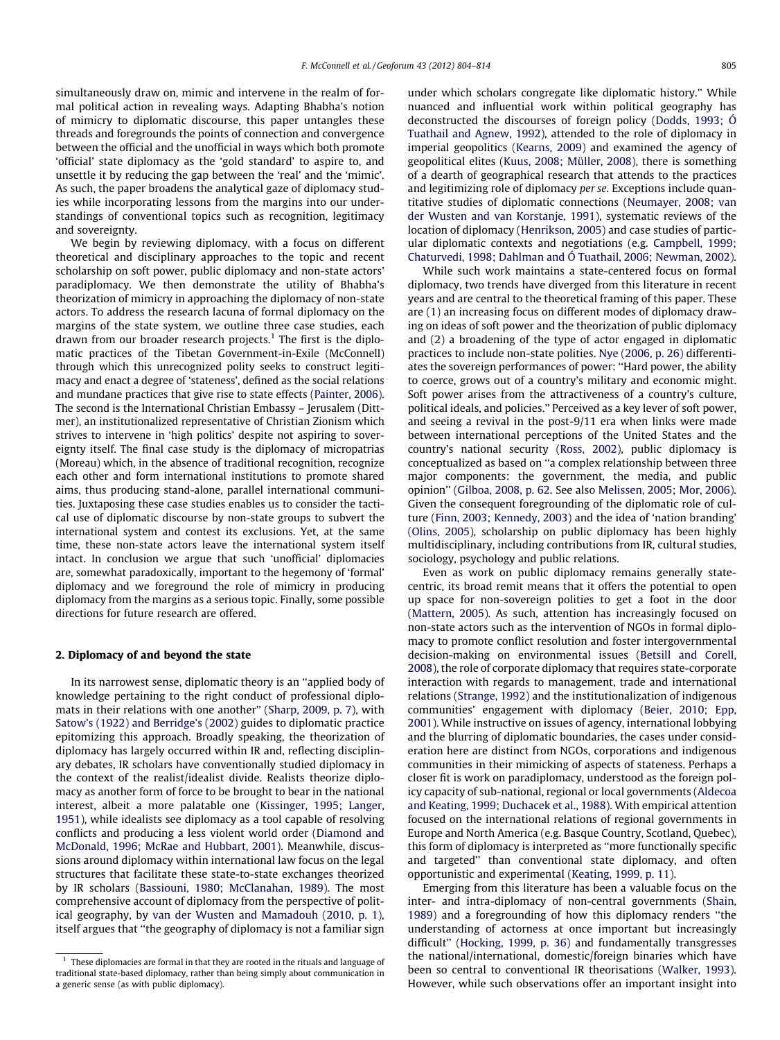simultaneously draw on, mimic and intervene in the realm of formal political action in revealing ways. Adapting Bhabha's notion of mimicry to diplomatic discourse, this paper untangles these threads and foregrounds the points of connection and convergence between the official and the unofficial in ways which both promote 'official' state diplomacy as the 'gold standard' to aspire to, and unsettle it by reducing the gap between the 'real' and the 'mimic'. As such, the paper broadens the analytical gaze of diplomacy studies while incorporating lessons from the margins into our understandings of conventional topics such as recognition, legitimacy and sovereignty.

We begin by reviewing diplomacy, with a focus on different theoretical and disciplinary approaches to the topic and recent scholarship on soft power, public diplomacy and non-state actors' paradiplomacy. We then demonstrate the utility of Bhabha's theorization of mimicry in approaching the diplomacy of non-state actors. To address the research lacuna of formal diplomacy on the margins of the state system, we outline three case studies, each drawn from our broader research projects.<sup>1</sup> The first is the diplomatic practices of the Tibetan Government-in-Exile (McConnell) through which this unrecognized polity seeks to construct legitimacy and enact a degree of 'stateness', defined as the social relations and mundane practices that give rise to state effects [\(Painter, 2006\)](#page-9-0). The second is the International Christian Embassy – Jerusalem (Dittmer), an institutionalized representative of Christian Zionism which strives to intervene in 'high politics' despite not aspiring to sovereignty itself. The final case study is the diplomacy of micropatrias (Moreau) which, in the absence of traditional recognition, recognize each other and form international institutions to promote shared aims, thus producing stand-alone, parallel international communities. Juxtaposing these case studies enables us to consider the tactical use of diplomatic discourse by non-state groups to subvert the international system and contest its exclusions. Yet, at the same time, these non-state actors leave the international system itself intact. In conclusion we argue that such 'unofficial' diplomacies are, somewhat paradoxically, important to the hegemony of 'formal' diplomacy and we foreground the role of mimicry in producing diplomacy from the margins as a serious topic. Finally, some possible directions for future research are offered.

#### 2. Diplomacy of and beyond the state

In its narrowest sense, diplomatic theory is an ''applied body of knowledge pertaining to the right conduct of professional diplomats in their relations with one another'' [\(Sharp, 2009, p. 7\)](#page-9-0), with [Satow's \(1922\) and Berridge's \(2002\)](#page-9-0) guides to diplomatic practice epitomizing this approach. Broadly speaking, the theorization of diplomacy has largely occurred within IR and, reflecting disciplinary debates, IR scholars have conventionally studied diplomacy in the context of the realist/idealist divide. Realists theorize diplomacy as another form of force to be brought to bear in the national interest, albeit a more palatable one ([Kissinger, 1995; Langer,](#page-9-0) [1951\)](#page-9-0), while idealists see diplomacy as a tool capable of resolving conflicts and producing a less violent world order ([Diamond and](#page-9-0) [McDonald, 1996; McRae and Hubbart, 2001\)](#page-9-0). Meanwhile, discussions around diplomacy within international law focus on the legal structures that facilitate these state-to-state exchanges theorized by IR scholars ([Bassiouni, 1980; McClanahan, 1989](#page-8-0)). The most comprehensive account of diplomacy from the perspective of political geography, by [van der Wusten and Mamadouh \(2010, p. 1\),](#page-9-0) itself argues that ''the geography of diplomacy is not a familiar sign under which scholars congregate like diplomatic history.'' While nuanced and influential work within political geography has deconstructed the discourses of foreign policy ([Dodds, 1993; Ó](#page-9-0) [Tuathail and Agnew, 1992](#page-9-0)), attended to the role of diplomacy in imperial geopolitics [\(Kearns, 2009](#page-9-0)) and examined the agency of geopolitical elites ([Kuus, 2008; Müller, 2008\)](#page-9-0), there is something of a dearth of geographical research that attends to the practices and legitimizing role of diplomacy per se. Exceptions include quantitative studies of diplomatic connections [\(Neumayer, 2008; van](#page-9-0) [der Wusten and van Korstanje, 1991\)](#page-9-0), systematic reviews of the location of diplomacy ([Henrikson, 2005\)](#page-9-0) and case studies of particular diplomatic contexts and negotiations (e.g. [Campbell, 1999;](#page-9-0) [Chaturvedi, 1998; Dahlman and Ó Tuathail, 2006; Newman, 2002\)](#page-9-0).

While such work maintains a state-centered focus on formal diplomacy, two trends have diverged from this literature in recent years and are central to the theoretical framing of this paper. These are (1) an increasing focus on different modes of diplomacy drawing on ideas of soft power and the theorization of public diplomacy and (2) a broadening of the type of actor engaged in diplomatic practices to include non-state polities. [Nye \(2006, p. 26\)](#page-9-0) differentiates the sovereign performances of power: ''Hard power, the ability to coerce, grows out of a country's military and economic might. Soft power arises from the attractiveness of a country's culture, political ideals, and policies.'' Perceived as a key lever of soft power, and seeing a revival in the post-9/11 era when links were made between international perceptions of the United States and the country's national security ([Ross, 2002](#page-9-0)), public diplomacy is conceptualized as based on ''a complex relationship between three major components: the government, the media, and public opinion'' ([Gilboa, 2008, p. 62](#page-9-0). See also [Melissen, 2005; Mor, 2006\)](#page-9-0). Given the consequent foregrounding of the diplomatic role of culture ([Finn, 2003; Kennedy, 2003\)](#page-9-0) and the idea of 'nation branding' ([Olins, 2005\)](#page-9-0), scholarship on public diplomacy has been highly multidisciplinary, including contributions from IR, cultural studies, sociology, psychology and public relations.

Even as work on public diplomacy remains generally statecentric, its broad remit means that it offers the potential to open up space for non-sovereign polities to get a foot in the door ([Mattern, 2005\)](#page-9-0). As such, attention has increasingly focused on non-state actors such as the intervention of NGOs in formal diplomacy to promote conflict resolution and foster intergovernmental decision-making on environmental issues [\(Betsill and Corell,](#page-8-0) [2008](#page-8-0)), the role of corporate diplomacy that requires state-corporate interaction with regards to management, trade and international relations ([Strange, 1992](#page-9-0)) and the institutionalization of indigenous communities' engagement with diplomacy [\(Beier, 2010; Epp,](#page-8-0) [2001](#page-8-0)). While instructive on issues of agency, international lobbying and the blurring of diplomatic boundaries, the cases under consideration here are distinct from NGOs, corporations and indigenous communities in their mimicking of aspects of stateness. Perhaps a closer fit is work on paradiplomacy, understood as the foreign policy capacity of sub-national, regional or local governments ([Aldecoa](#page-8-0) [and Keating, 1999; Duchacek et al., 1988\)](#page-8-0). With empirical attention focused on the international relations of regional governments in Europe and North America (e.g. Basque Country, Scotland, Quebec), this form of diplomacy is interpreted as ''more functionally specific and targeted'' than conventional state diplomacy, and often opportunistic and experimental ([Keating, 1999, p. 11\)](#page-9-0).

Emerging from this literature has been a valuable focus on the inter- and intra-diplomacy of non-central governments ([Shain,](#page-9-0) [1989\)](#page-9-0) and a foregrounding of how this diplomacy renders ''the understanding of actorness at once important but increasingly difficult'' ([Hocking, 1999, p. 36\)](#page-9-0) and fundamentally transgresses the national/international, domestic/foreign binaries which have been so central to conventional IR theorisations ([Walker, 1993\)](#page-10-0). However, while such observations offer an important insight into

 $^{\rm 1}$  These diplomacies are formal in that they are rooted in the rituals and language of traditional state-based diplomacy, rather than being simply about communication in a generic sense (as with public diplomacy).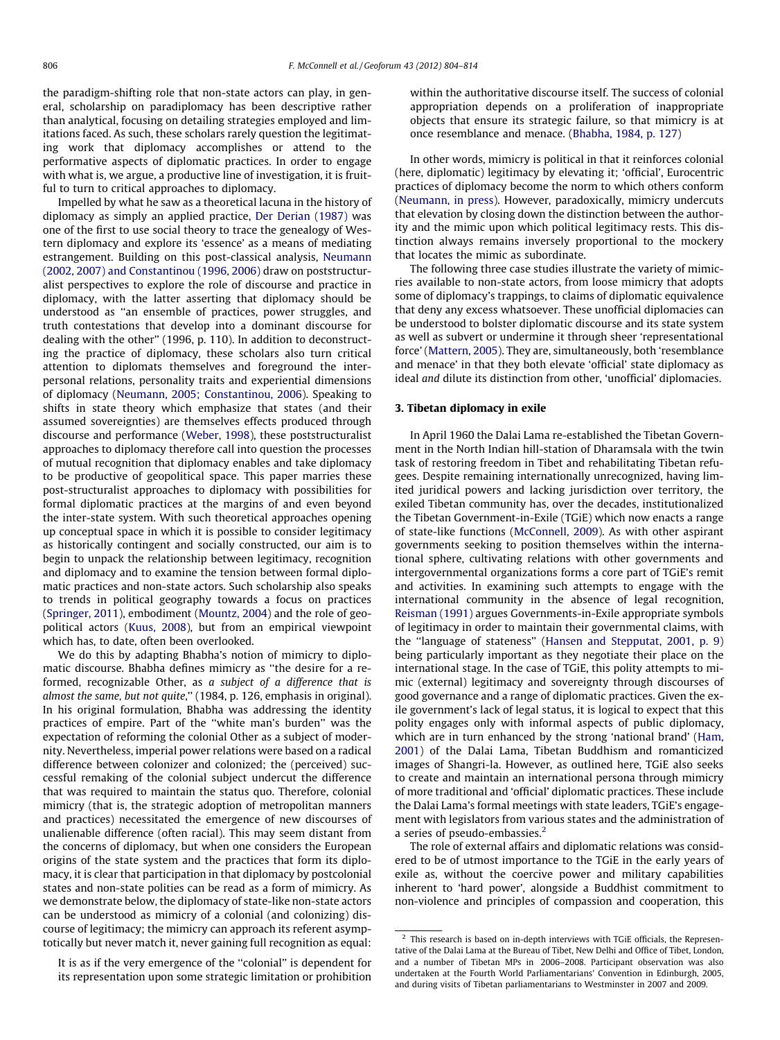the paradigm-shifting role that non-state actors can play, in general, scholarship on paradiplomacy has been descriptive rather than analytical, focusing on detailing strategies employed and limitations faced. As such, these scholars rarely question the legitimating work that diplomacy accomplishes or attend to the performative aspects of diplomatic practices. In order to engage with what is, we argue, a productive line of investigation, it is fruitful to turn to critical approaches to diplomacy.

Impelled by what he saw as a theoretical lacuna in the history of diplomacy as simply an applied practice, [Der Derian \(1987\)](#page-9-0) was one of the first to use social theory to trace the genealogy of Western diplomacy and explore its 'essence' as a means of mediating estrangement. Building on this post-classical analysis, [Neumann](#page-9-0) [\(2002, 2007\) and Constantinou \(1996, 2006\)](#page-9-0) draw on poststructuralist perspectives to explore the role of discourse and practice in diplomacy, with the latter asserting that diplomacy should be understood as ''an ensemble of practices, power struggles, and truth contestations that develop into a dominant discourse for dealing with the other'' (1996, p. 110). In addition to deconstructing the practice of diplomacy, these scholars also turn critical attention to diplomats themselves and foreground the interpersonal relations, personality traits and experiential dimensions of diplomacy [\(Neumann, 2005; Constantinou, 2006\)](#page-9-0). Speaking to shifts in state theory which emphasize that states (and their assumed sovereignties) are themselves effects produced through discourse and performance ([Weber, 1998\)](#page-10-0), these poststructuralist approaches to diplomacy therefore call into question the processes of mutual recognition that diplomacy enables and take diplomacy to be productive of geopolitical space. This paper marries these post-structuralist approaches to diplomacy with possibilities for formal diplomatic practices at the margins of and even beyond the inter-state system. With such theoretical approaches opening up conceptual space in which it is possible to consider legitimacy as historically contingent and socially constructed, our aim is to begin to unpack the relationship between legitimacy, recognition and diplomacy and to examine the tension between formal diplomatic practices and non-state actors. Such scholarship also speaks to trends in political geography towards a focus on practices ([Springer, 2011\)](#page-9-0), embodiment ([Mountz, 2004](#page-9-0)) and the role of geopolitical actors [\(Kuus, 2008](#page-9-0)), but from an empirical viewpoint which has, to date, often been overlooked.

We do this by adapting Bhabha's notion of mimicry to diplomatic discourse. Bhabha defines mimicry as ''the desire for a reformed, recognizable Other, as a subject of a difference that is almost the same, but not quite,'' (1984, p. 126, emphasis in original). In his original formulation, Bhabha was addressing the identity practices of empire. Part of the ''white man's burden'' was the expectation of reforming the colonial Other as a subject of modernity. Nevertheless, imperial power relations were based on a radical difference between colonizer and colonized; the (perceived) successful remaking of the colonial subject undercut the difference that was required to maintain the status quo. Therefore, colonial mimicry (that is, the strategic adoption of metropolitan manners and practices) necessitated the emergence of new discourses of unalienable difference (often racial). This may seem distant from the concerns of diplomacy, but when one considers the European origins of the state system and the practices that form its diplomacy, it is clear that participation in that diplomacy by postcolonial states and non-state polities can be read as a form of mimicry. As we demonstrate below, the diplomacy of state-like non-state actors can be understood as mimicry of a colonial (and colonizing) discourse of legitimacy; the mimicry can approach its referent asymptotically but never match it, never gaining full recognition as equal:

It is as if the very emergence of the ''colonial'' is dependent for its representation upon some strategic limitation or prohibition within the authoritative discourse itself. The success of colonial appropriation depends on a proliferation of inappropriate objects that ensure its strategic failure, so that mimicry is at once resemblance and menace. ([Bhabha, 1984, p. 127](#page-8-0))

In other words, mimicry is political in that it reinforces colonial (here, diplomatic) legitimacy by elevating it; 'official', Eurocentric practices of diplomacy become the norm to which others conform ([Neumann, in press](#page-9-0)). However, paradoxically, mimicry undercuts that elevation by closing down the distinction between the authority and the mimic upon which political legitimacy rests. This distinction always remains inversely proportional to the mockery that locates the mimic as subordinate.

The following three case studies illustrate the variety of mimicries available to non-state actors, from loose mimicry that adopts some of diplomacy's trappings, to claims of diplomatic equivalence that deny any excess whatsoever. These unofficial diplomacies can be understood to bolster diplomatic discourse and its state system as well as subvert or undermine it through sheer 'representational force' [\(Mattern, 2005](#page-9-0)). They are, simultaneously, both 'resemblance and menace' in that they both elevate 'official' state diplomacy as ideal and dilute its distinction from other, 'unofficial' diplomacies.

#### 3. Tibetan diplomacy in exile

In April 1960 the Dalai Lama re-established the Tibetan Government in the North Indian hill-station of Dharamsala with the twin task of restoring freedom in Tibet and rehabilitating Tibetan refugees. Despite remaining internationally unrecognized, having limited juridical powers and lacking jurisdiction over territory, the exiled Tibetan community has, over the decades, institutionalized the Tibetan Government-in-Exile (TGiE) which now enacts a range of state-like functions ([McConnell, 2009\)](#page-9-0). As with other aspirant governments seeking to position themselves within the international sphere, cultivating relations with other governments and intergovernmental organizations forms a core part of TGiE's remit and activities. In examining such attempts to engage with the international community in the absence of legal recognition, [Reisman \(1991\)](#page-9-0) argues Governments-in-Exile appropriate symbols of legitimacy in order to maintain their governmental claims, with the ''language of stateness'' ([Hansen and Stepputat, 2001, p. 9\)](#page-9-0) being particularly important as they negotiate their place on the international stage. In the case of TGiE, this polity attempts to mimic (external) legitimacy and sovereignty through discourses of good governance and a range of diplomatic practices. Given the exile government's lack of legal status, it is logical to expect that this polity engages only with informal aspects of public diplomacy, which are in turn enhanced by the strong 'national brand' ([Ham,](#page-9-0) [2001\)](#page-9-0) of the Dalai Lama, Tibetan Buddhism and romanticized images of Shangri-la. However, as outlined here, TGiE also seeks to create and maintain an international persona through mimicry of more traditional and 'official' diplomatic practices. These include the Dalai Lama's formal meetings with state leaders, TGiE's engagement with legislators from various states and the administration of a series of pseudo-embassies.<sup>2</sup>

The role of external affairs and diplomatic relations was considered to be of utmost importance to the TGiE in the early years of exile as, without the coercive power and military capabilities inherent to 'hard power', alongside a Buddhist commitment to non-violence and principles of compassion and cooperation, this

 $<sup>2</sup>$  This research is based on in-depth interviews with TGiE officials, the Represen-</sup> tative of the Dalai Lama at the Bureau of Tibet, New Delhi and Office of Tibet, London, and a number of Tibetan MPs in 2006–2008. Participant observation was also undertaken at the Fourth World Parliamentarians' Convention in Edinburgh, 2005, and during visits of Tibetan parliamentarians to Westminster in 2007 and 2009.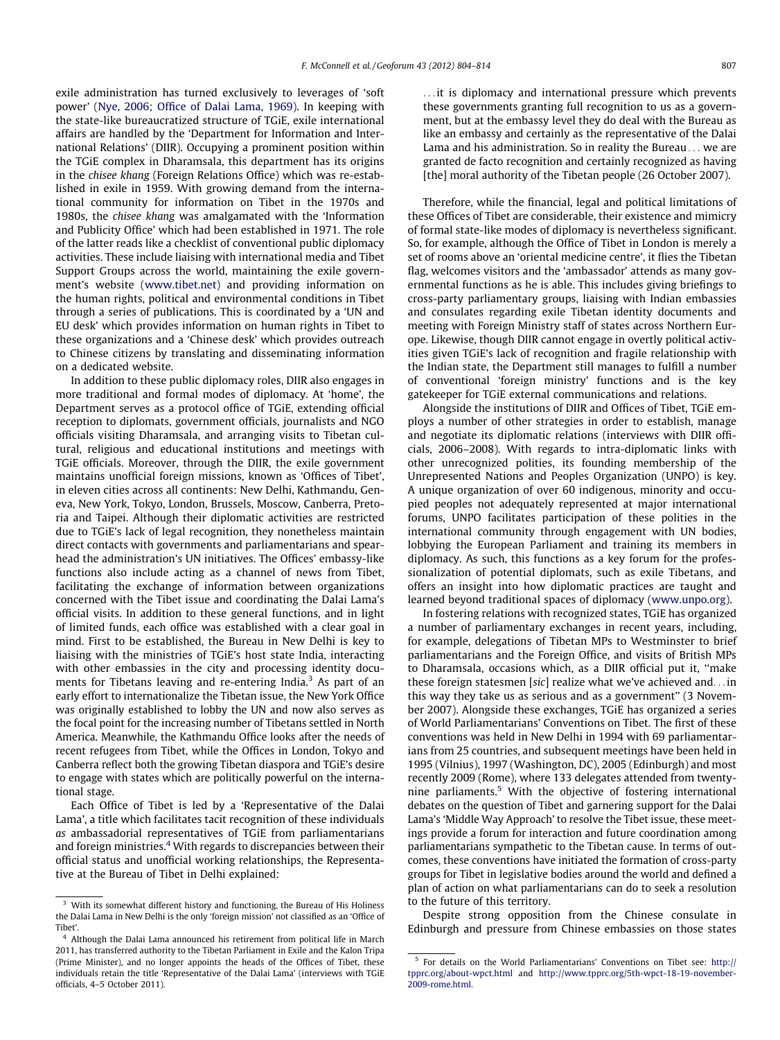exile administration has turned exclusively to leverages of 'soft power' ([Nye, 2006; Office of Dalai Lama, 1969\)](#page-9-0). In keeping with the state-like bureaucratized structure of TGiE, exile international affairs are handled by the 'Department for Information and International Relations' (DIIR). Occupying a prominent position within the TGiE complex in Dharamsala, this department has its origins in the chisee khang (Foreign Relations Office) which was re-established in exile in 1959. With growing demand from the international community for information on Tibet in the 1970s and 1980s, the chisee khang was amalgamated with the 'Information and Publicity Office' which had been established in 1971. The role of the latter reads like a checklist of conventional public diplomacy activities. These include liaising with international media and Tibet Support Groups across the world, maintaining the exile government's website ([www.tibet.net](http://www.tibet.net)) and providing information on the human rights, political and environmental conditions in Tibet through a series of publications. This is coordinated by a 'UN and EU desk' which provides information on human rights in Tibet to these organizations and a 'Chinese desk' which provides outreach to Chinese citizens by translating and disseminating information on a dedicated website.

In addition to these public diplomacy roles, DIIR also engages in more traditional and formal modes of diplomacy. At 'home', the Department serves as a protocol office of TGiE, extending official reception to diplomats, government officials, journalists and NGO officials visiting Dharamsala, and arranging visits to Tibetan cultural, religious and educational institutions and meetings with TGiE officials. Moreover, through the DIIR, the exile government maintains unofficial foreign missions, known as 'Offices of Tibet', in eleven cities across all continents: New Delhi, Kathmandu, Geneva, New York, Tokyo, London, Brussels, Moscow, Canberra, Pretoria and Taipei. Although their diplomatic activities are restricted due to TGiE's lack of legal recognition, they nonetheless maintain direct contacts with governments and parliamentarians and spearhead the administration's UN initiatives. The Offices' embassy-like functions also include acting as a channel of news from Tibet, facilitating the exchange of information between organizations concerned with the Tibet issue and coordinating the Dalai Lama's official visits. In addition to these general functions, and in light of limited funds, each office was established with a clear goal in mind. First to be established, the Bureau in New Delhi is key to liaising with the ministries of TGiE's host state India, interacting with other embassies in the city and processing identity documents for Tibetans leaving and re-entering India.<sup>3</sup> As part of an early effort to internationalize the Tibetan issue, the New York Office was originally established to lobby the UN and now also serves as the focal point for the increasing number of Tibetans settled in North America. Meanwhile, the Kathmandu Office looks after the needs of recent refugees from Tibet, while the Offices in London, Tokyo and Canberra reflect both the growing Tibetan diaspora and TGiE's desire to engage with states which are politically powerful on the international stage.

Each Office of Tibet is led by a 'Representative of the Dalai Lama', a title which facilitates tacit recognition of these individuals as ambassadorial representatives of TGiE from parliamentarians and foreign ministries.<sup>4</sup> With regards to discrepancies between their official status and unofficial working relationships, the Representative at the Bureau of Tibet in Delhi explained:

...it is diplomacy and international pressure which prevents these governments granting full recognition to us as a government, but at the embassy level they do deal with the Bureau as like an embassy and certainly as the representative of the Dalai Lama and his administration. So in reality the Bureau... we are granted de facto recognition and certainly recognized as having [the] moral authority of the Tibetan people (26 October 2007).

Therefore, while the financial, legal and political limitations of these Offices of Tibet are considerable, their existence and mimicry of formal state-like modes of diplomacy is nevertheless significant. So, for example, although the Office of Tibet in London is merely a set of rooms above an 'oriental medicine centre', it flies the Tibetan flag, welcomes visitors and the 'ambassador' attends as many governmental functions as he is able. This includes giving briefings to cross-party parliamentary groups, liaising with Indian embassies and consulates regarding exile Tibetan identity documents and meeting with Foreign Ministry staff of states across Northern Europe. Likewise, though DIIR cannot engage in overtly political activities given TGiE's lack of recognition and fragile relationship with the Indian state, the Department still manages to fulfill a number of conventional 'foreign ministry' functions and is the key gatekeeper for TGiE external communications and relations.

Alongside the institutions of DIIR and Offices of Tibet, TGiE employs a number of other strategies in order to establish, manage and negotiate its diplomatic relations (interviews with DIIR officials, 2006–2008). With regards to intra-diplomatic links with other unrecognized polities, its founding membership of the Unrepresented Nations and Peoples Organization (UNPO) is key. A unique organization of over 60 indigenous, minority and occupied peoples not adequately represented at major international forums, UNPO facilitates participation of these polities in the international community through engagement with UN bodies, lobbying the European Parliament and training its members in diplomacy. As such, this functions as a key forum for the professionalization of potential diplomats, such as exile Tibetans, and offers an insight into how diplomatic practices are taught and learned beyond traditional spaces of diplomacy ([www.unpo.org](http://www.unpo.org)).

In fostering relations with recognized states, TGiE has organized a number of parliamentary exchanges in recent years, including, for example, delegations of Tibetan MPs to Westminster to brief parliamentarians and the Foreign Office, and visits of British MPs to Dharamsala, occasions which, as a DIIR official put it, ''make these foreign statesmen [sic] realize what we've achieved and...in this way they take us as serious and as a government'' (3 November 2007). Alongside these exchanges, TGiE has organized a series of World Parliamentarians' Conventions on Tibet. The first of these conventions was held in New Delhi in 1994 with 69 parliamentarians from 25 countries, and subsequent meetings have been held in 1995 (Vilnius), 1997 (Washington, DC), 2005 (Edinburgh) and most recently 2009 (Rome), where 133 delegates attended from twentynine parliaments.5 With the objective of fostering international debates on the question of Tibet and garnering support for the Dalai Lama's 'Middle Way Approach' to resolve the Tibet issue, these meetings provide a forum for interaction and future coordination among parliamentarians sympathetic to the Tibetan cause. In terms of outcomes, these conventions have initiated the formation of cross-party groups for Tibet in legislative bodies around the world and defined a plan of action on what parliamentarians can do to seek a resolution to the future of this territory.

Despite strong opposition from the Chinese consulate in Edinburgh and pressure from Chinese embassies on those states

 $3$  With its somewhat different history and functioning, the Bureau of His Holiness the Dalai Lama in New Delhi is the only 'foreign mission' not classified as an 'Office of Tibet'.

<sup>&</sup>lt;sup>4</sup> Although the Dalai Lama announced his retirement from political life in March 2011, has transferred authority to the Tibetan Parliament in Exile and the Kalon Tripa (Prime Minister), and no longer appoints the heads of the Offices of Tibet, these individuals retain the title 'Representative of the Dalai Lama' (interviews with TGiE officials, 4–5 October 2011).

<sup>5</sup> For details on the World Parliamentarians' Conventions on Tibet see: [http://](http://tpprc.org/about-wpct.html) [tpprc.org/about-wpct.html](http://tpprc.org/about-wpct.html) and [http://www.tpprc.org/5th-wpct-18-19-november-](http://www.tpprc.org/5th-wpct-18-19-november-2009-rome.html)[2009-rome.html.](http://www.tpprc.org/5th-wpct-18-19-november-2009-rome.html)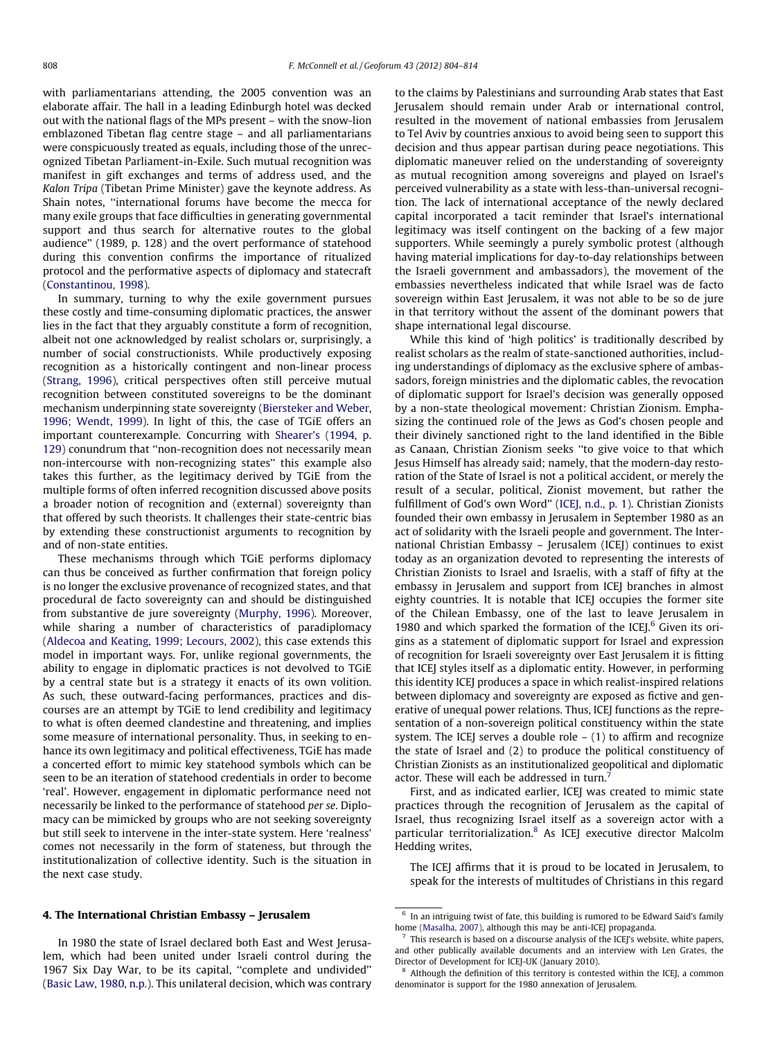with parliamentarians attending, the 2005 convention was an elaborate affair. The hall in a leading Edinburgh hotel was decked out with the national flags of the MPs present – with the snow-lion emblazoned Tibetan flag centre stage – and all parliamentarians were conspicuously treated as equals, including those of the unrecognized Tibetan Parliament-in-Exile. Such mutual recognition was manifest in gift exchanges and terms of address used, and the Kalon Tripa (Tibetan Prime Minister) gave the keynote address. As Shain notes, ''international forums have become the mecca for many exile groups that face difficulties in generating governmental support and thus search for alternative routes to the global audience'' (1989, p. 128) and the overt performance of statehood during this convention confirms the importance of ritualized protocol and the performative aspects of diplomacy and statecraft ([Constantinou, 1998\)](#page-9-0).

In summary, turning to why the exile government pursues these costly and time-consuming diplomatic practices, the answer lies in the fact that they arguably constitute a form of recognition, albeit not one acknowledged by realist scholars or, surprisingly, a number of social constructionists. While productively exposing recognition as a historically contingent and non-linear process ([Strang, 1996\)](#page-9-0), critical perspectives often still perceive mutual recognition between constituted sovereigns to be the dominant mechanism underpinning state sovereignty ([Biersteker and Weber,](#page-8-0) [1996; Wendt, 1999\)](#page-8-0). In light of this, the case of TGiE offers an important counterexample. Concurring with [Shearer's \(1994, p.](#page-9-0) [129\)](#page-9-0) conundrum that ''non-recognition does not necessarily mean non-intercourse with non-recognizing states'' this example also takes this further, as the legitimacy derived by TGiE from the multiple forms of often inferred recognition discussed above posits a broader notion of recognition and (external) sovereignty than that offered by such theorists. It challenges their state-centric bias by extending these constructionist arguments to recognition by and of non-state entities.

These mechanisms through which TGiE performs diplomacy can thus be conceived as further confirmation that foreign policy is no longer the exclusive provenance of recognized states, and that procedural de facto sovereignty can and should be distinguished from substantive de jure sovereignty ([Murphy, 1996](#page-9-0)). Moreover, while sharing a number of characteristics of paradiplomacy ([Aldecoa and Keating, 1999; Lecours, 2002\)](#page-8-0), this case extends this model in important ways. For, unlike regional governments, the ability to engage in diplomatic practices is not devolved to TGiE by a central state but is a strategy it enacts of its own volition. As such, these outward-facing performances, practices and discourses are an attempt by TGiE to lend credibility and legitimacy to what is often deemed clandestine and threatening, and implies some measure of international personality. Thus, in seeking to enhance its own legitimacy and political effectiveness, TGiE has made a concerted effort to mimic key statehood symbols which can be seen to be an iteration of statehood credentials in order to become 'real'. However, engagement in diplomatic performance need not necessarily be linked to the performance of statehood per se. Diplomacy can be mimicked by groups who are not seeking sovereignty but still seek to intervene in the inter-state system. Here 'realness' comes not necessarily in the form of stateness, but through the institutionalization of collective identity. Such is the situation in the next case study.

## 4. The International Christian Embassy – Jerusalem

In 1980 the state of Israel declared both East and West Jerusalem, which had been united under Israeli control during the 1967 Six Day War, to be its capital, ''complete and undivided'' ([Basic Law, 1980, n.p.](#page-8-0)). This unilateral decision, which was contrary

to the claims by Palestinians and surrounding Arab states that East Jerusalem should remain under Arab or international control, resulted in the movement of national embassies from Jerusalem to Tel Aviv by countries anxious to avoid being seen to support this decision and thus appear partisan during peace negotiations. This diplomatic maneuver relied on the understanding of sovereignty as mutual recognition among sovereigns and played on Israel's perceived vulnerability as a state with less-than-universal recognition. The lack of international acceptance of the newly declared capital incorporated a tacit reminder that Israel's international legitimacy was itself contingent on the backing of a few major supporters. While seemingly a purely symbolic protest (although having material implications for day-to-day relationships between the Israeli government and ambassadors), the movement of the embassies nevertheless indicated that while Israel was de facto sovereign within East Jerusalem, it was not able to be so de jure in that territory without the assent of the dominant powers that shape international legal discourse.

While this kind of 'high politics' is traditionally described by realist scholars as the realm of state-sanctioned authorities, including understandings of diplomacy as the exclusive sphere of ambassadors, foreign ministries and the diplomatic cables, the revocation of diplomatic support for Israel's decision was generally opposed by a non-state theological movement: Christian Zionism. Emphasizing the continued role of the Jews as God's chosen people and their divinely sanctioned right to the land identified in the Bible as Canaan, Christian Zionism seeks ''to give voice to that which Jesus Himself has already said; namely, that the modern-day restoration of the State of Israel is not a political accident, or merely the result of a secular, political, Zionist movement, but rather the fulfillment of God's own Word'' ([ICEJ, n.d., p. 1](#page-9-0)). Christian Zionists founded their own embassy in Jerusalem in September 1980 as an act of solidarity with the Israeli people and government. The International Christian Embassy – Jerusalem (ICEJ) continues to exist today as an organization devoted to representing the interests of Christian Zionists to Israel and Israelis, with a staff of fifty at the embassy in Jerusalem and support from ICEJ branches in almost eighty countries. It is notable that ICEJ occupies the former site of the Chilean Embassy, one of the last to leave Jerusalem in 1980 and which sparked the formation of the ICEI. $<sup>6</sup>$  Given its ori-</sup> gins as a statement of diplomatic support for Israel and expression of recognition for Israeli sovereignty over East Jerusalem it is fitting that ICEJ styles itself as a diplomatic entity. However, in performing this identity ICEJ produces a space in which realist-inspired relations between diplomacy and sovereignty are exposed as fictive and generative of unequal power relations. Thus, ICEJ functions as the representation of a non-sovereign political constituency within the state system. The ICEJ serves a double role  $-$  (1) to affirm and recognize the state of Israel and (2) to produce the political constituency of Christian Zionists as an institutionalized geopolitical and diplomatic actor. These will each be addressed in turn.<sup>7</sup>

First, and as indicated earlier, ICEJ was created to mimic state practices through the recognition of Jerusalem as the capital of Israel, thus recognizing Israel itself as a sovereign actor with a particular territorialization.<sup>8</sup> As ICEJ executive director Malcolm Hedding writes,

The ICEJ affirms that it is proud to be located in Jerusalem, to speak for the interests of multitudes of Christians in this regard

 $6\,$  In an intriguing twist of fate, this building is rumored to be Edward Said's family home ([Masalha, 2007\)](#page-9-0), although this may be anti-ICEJ propaganda.

 $7$  This research is based on a discourse analysis of the ICEJ's website, white papers, and other publically available documents and an interview with Len Grates, the Director of Development for ICEJ-UK (January 2010).

<sup>&</sup>lt;sup>8</sup> Although the definition of this territory is contested within the ICEJ, a common denominator is support for the 1980 annexation of Jerusalem.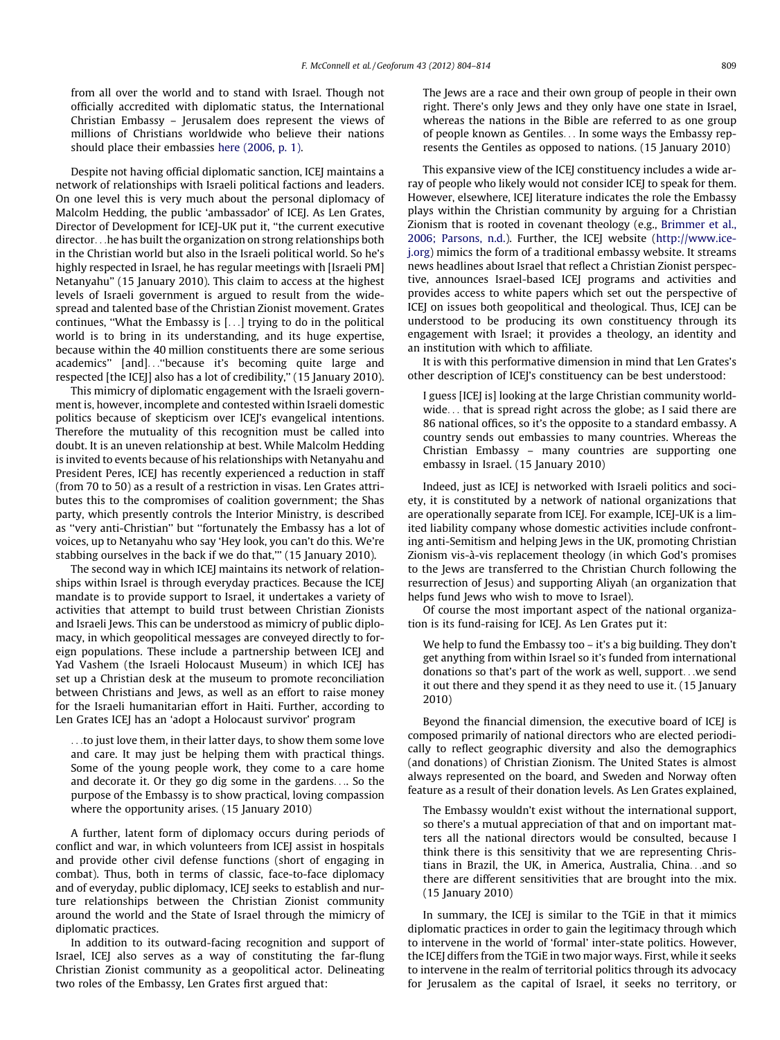from all over the world and to stand with Israel. Though not officially accredited with diplomatic status, the International Christian Embassy – Jerusalem does represent the views of millions of Christians worldwide who believe their nations should place their embassies [here \(2006, p. 1\).](#page-9-0)

Despite not having official diplomatic sanction, ICEJ maintains a network of relationships with Israeli political factions and leaders. On one level this is very much about the personal diplomacy of Malcolm Hedding, the public 'ambassador' of ICEJ. As Len Grates, Director of Development for ICEJ-UK put it, ''the current executive director...he has built the organization on strong relationships both in the Christian world but also in the Israeli political world. So he's highly respected in Israel, he has regular meetings with [Israeli PM] Netanyahu'' (15 January 2010). This claim to access at the highest levels of Israeli government is argued to result from the widespread and talented base of the Christian Zionist movement. Grates continues, ''What the Embassy is [...] trying to do in the political world is to bring in its understanding, and its huge expertise, because within the 40 million constituents there are some serious academics'' [and]...''because it's becoming quite large and respected [the ICE]] also has a lot of credibility," (15 January 2010).

This mimicry of diplomatic engagement with the Israeli government is, however, incomplete and contested within Israeli domestic politics because of skepticism over ICEJ's evangelical intentions. Therefore the mutuality of this recognition must be called into doubt. It is an uneven relationship at best. While Malcolm Hedding is invited to events because of his relationships with Netanyahu and President Peres, ICEJ has recently experienced a reduction in staff (from 70 to 50) as a result of a restriction in visas. Len Grates attributes this to the compromises of coalition government; the Shas party, which presently controls the Interior Ministry, is described as ''very anti-Christian'' but ''fortunately the Embassy has a lot of voices, up to Netanyahu who say 'Hey look, you can't do this. We're stabbing ourselves in the back if we do that,''' (15 January 2010).

The second way in which ICEJ maintains its network of relationships within Israel is through everyday practices. Because the ICEJ mandate is to provide support to Israel, it undertakes a variety of activities that attempt to build trust between Christian Zionists and Israeli Jews. This can be understood as mimicry of public diplomacy, in which geopolitical messages are conveyed directly to foreign populations. These include a partnership between ICEJ and Yad Vashem (the Israeli Holocaust Museum) in which ICEJ has set up a Christian desk at the museum to promote reconciliation between Christians and Jews, as well as an effort to raise money for the Israeli humanitarian effort in Haiti. Further, according to Len Grates ICEJ has an 'adopt a Holocaust survivor' program

...to just love them, in their latter days, to show them some love and care. It may just be helping them with practical things. Some of the young people work, they come to a care home and decorate it. Or they go dig some in the gardens.... So the purpose of the Embassy is to show practical, loving compassion where the opportunity arises. (15 January 2010)

A further, latent form of diplomacy occurs during periods of conflict and war, in which volunteers from ICEJ assist in hospitals and provide other civil defense functions (short of engaging in combat). Thus, both in terms of classic, face-to-face diplomacy and of everyday, public diplomacy, ICEJ seeks to establish and nurture relationships between the Christian Zionist community around the world and the State of Israel through the mimicry of diplomatic practices.

In addition to its outward-facing recognition and support of Israel, ICEJ also serves as a way of constituting the far-flung Christian Zionist community as a geopolitical actor. Delineating two roles of the Embassy, Len Grates first argued that:

The Jews are a race and their own group of people in their own right. There's only Jews and they only have one state in Israel. whereas the nations in the Bible are referred to as one group of people known as Gentiles... In some ways the Embassy represents the Gentiles as opposed to nations. (15 January 2010)

This expansive view of the ICEJ constituency includes a wide array of people who likely would not consider ICEJ to speak for them. However, elsewhere, ICEJ literature indicates the role the Embassy plays within the Christian community by arguing for a Christian Zionism that is rooted in covenant theology (e.g., [Brimmer et al.,](#page-9-0) [2006; Parsons, n.d.](#page-9-0)). Further, the ICEJ website [\(http://www.ice](http://www.icej.org)[j.org](http://www.icej.org)) mimics the form of a traditional embassy website. It streams news headlines about Israel that reflect a Christian Zionist perspective, announces Israel-based ICEJ programs and activities and provides access to white papers which set out the perspective of ICEJ on issues both geopolitical and theological. Thus, ICEJ can be understood to be producing its own constituency through its engagement with Israel; it provides a theology, an identity and an institution with which to affiliate.

It is with this performative dimension in mind that Len Grates's other description of ICEJ's constituency can be best understood:

I guess [ICEJ is] looking at the large Christian community worldwide... that is spread right across the globe; as I said there are 86 national offices, so it's the opposite to a standard embassy. A country sends out embassies to many countries. Whereas the Christian Embassy – many countries are supporting one embassy in Israel. (15 January 2010)

Indeed, just as ICEJ is networked with Israeli politics and society, it is constituted by a network of national organizations that are operationally separate from ICEJ. For example, ICEJ-UK is a limited liability company whose domestic activities include confronting anti-Semitism and helping Jews in the UK, promoting Christian Zionism vis-à-vis replacement theology (in which God's promises to the Jews are transferred to the Christian Church following the resurrection of Jesus) and supporting Aliyah (an organization that helps fund Jews who wish to move to Israel).

Of course the most important aspect of the national organization is its fund-raising for ICEJ. As Len Grates put it:

We help to fund the Embassy too – it's a big building. They don't get anything from within Israel so it's funded from international donations so that's part of the work as well, support...we send it out there and they spend it as they need to use it. (15 January 2010)

Beyond the financial dimension, the executive board of ICEJ is composed primarily of national directors who are elected periodically to reflect geographic diversity and also the demographics (and donations) of Christian Zionism. The United States is almost always represented on the board, and Sweden and Norway often feature as a result of their donation levels. As Len Grates explained,

The Embassy wouldn't exist without the international support, so there's a mutual appreciation of that and on important matters all the national directors would be consulted, because I think there is this sensitivity that we are representing Christians in Brazil, the UK, in America, Australia, China...and so there are different sensitivities that are brought into the mix. (15 January 2010)

In summary, the ICEJ is similar to the TGiE in that it mimics diplomatic practices in order to gain the legitimacy through which to intervene in the world of 'formal' inter-state politics. However, the ICEJ differs from the TGiE in two major ways. First, while it seeks to intervene in the realm of territorial politics through its advocacy for Jerusalem as the capital of Israel, it seeks no territory, or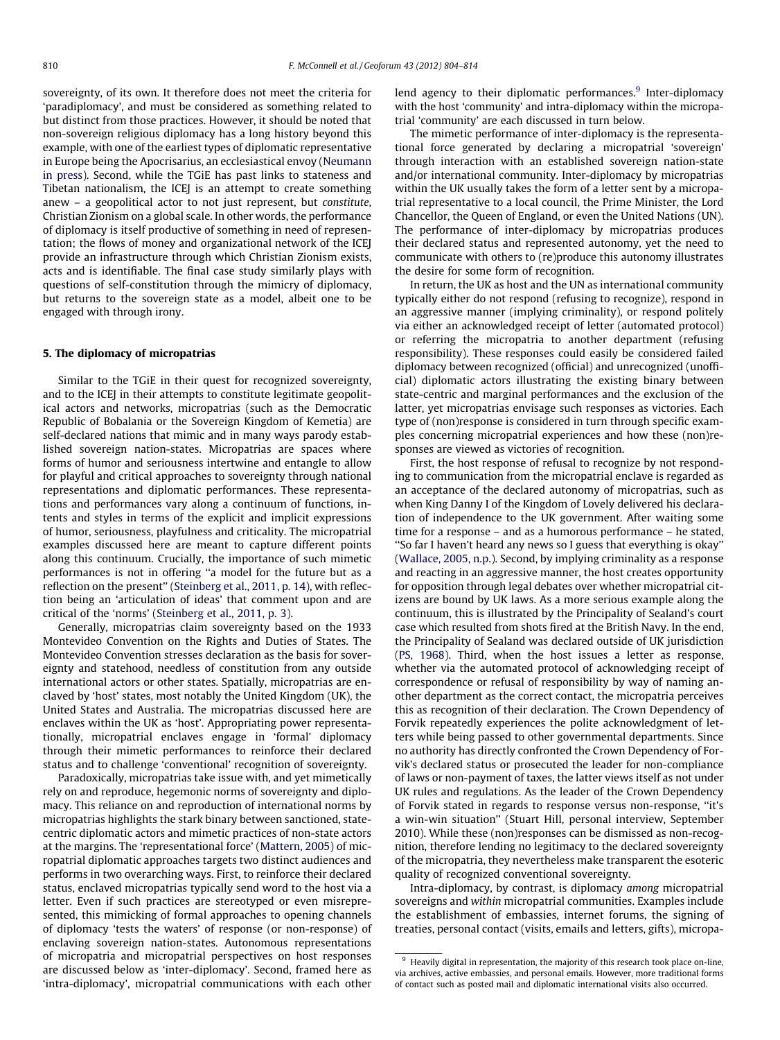sovereignty, of its own. It therefore does not meet the criteria for 'paradiplomacy', and must be considered as something related to but distinct from those practices. However, it should be noted that non-sovereign religious diplomacy has a long history beyond this example, with one of the earliest types of diplomatic representative in Europe being the Apocrisarius, an ecclesiastical envoy ([Neumann](#page-9-0) [in press](#page-9-0)). Second, while the TGiE has past links to stateness and Tibetan nationalism, the ICEJ is an attempt to create something anew – a geopolitical actor to not just represent, but constitute, Christian Zionism on a global scale. In other words, the performance of diplomacy is itself productive of something in need of representation; the flows of money and organizational network of the ICEJ provide an infrastructure through which Christian Zionism exists, acts and is identifiable. The final case study similarly plays with questions of self-constitution through the mimicry of diplomacy, but returns to the sovereign state as a model, albeit one to be engaged with through irony.

#### 5. The diplomacy of micropatrias

Similar to the TGiE in their quest for recognized sovereignty, and to the ICEJ in their attempts to constitute legitimate geopolitical actors and networks, micropatrias (such as the Democratic Republic of Bobalania or the Sovereign Kingdom of Kemetia) are self-declared nations that mimic and in many ways parody established sovereign nation-states. Micropatrias are spaces where forms of humor and seriousness intertwine and entangle to allow for playful and critical approaches to sovereignty through national representations and diplomatic performances. These representations and performances vary along a continuum of functions, intents and styles in terms of the explicit and implicit expressions of humor, seriousness, playfulness and criticality. The micropatrial examples discussed here are meant to capture different points along this continuum. Crucially, the importance of such mimetic performances is not in offering ''a model for the future but as a reflection on the present'' [\(Steinberg et al., 2011, p. 14\)](#page-9-0), with reflection being an 'articulation of ideas' that comment upon and are critical of the 'norms' ([Steinberg et al., 2011, p. 3](#page-9-0)).

Generally, micropatrias claim sovereignty based on the 1933 Montevideo Convention on the Rights and Duties of States. The Montevideo Convention stresses declaration as the basis for sovereignty and statehood, needless of constitution from any outside international actors or other states. Spatially, micropatrias are enclaved by 'host' states, most notably the United Kingdom (UK), the United States and Australia. The micropatrias discussed here are enclaves within the UK as 'host'. Appropriating power representationally, micropatrial enclaves engage in 'formal' diplomacy through their mimetic performances to reinforce their declared status and to challenge 'conventional' recognition of sovereignty.

Paradoxically, micropatrias take issue with, and yet mimetically rely on and reproduce, hegemonic norms of sovereignty and diplomacy. This reliance on and reproduction of international norms by micropatrias highlights the stark binary between sanctioned, statecentric diplomatic actors and mimetic practices of non-state actors at the margins. The 'representational force' ([Mattern, 2005](#page-9-0)) of micropatrial diplomatic approaches targets two distinct audiences and performs in two overarching ways. First, to reinforce their declared status, enclaved micropatrias typically send word to the host via a letter. Even if such practices are stereotyped or even misrepresented, this mimicking of formal approaches to opening channels of diplomacy 'tests the waters' of response (or non-response) of enclaving sovereign nation-states. Autonomous representations of micropatria and micropatrial perspectives on host responses are discussed below as 'inter-diplomacy'. Second, framed here as 'intra-diplomacy', micropatrial communications with each other lend agency to their diplomatic performances. $9$  Inter-diplomacy with the host 'community' and intra-diplomacy within the micropatrial 'community' are each discussed in turn below.

The mimetic performance of inter-diplomacy is the representational force generated by declaring a micropatrial 'sovereign' through interaction with an established sovereign nation-state and/or international community. Inter-diplomacy by micropatrias within the UK usually takes the form of a letter sent by a micropatrial representative to a local council, the Prime Minister, the Lord Chancellor, the Queen of England, or even the United Nations (UN). The performance of inter-diplomacy by micropatrias produces their declared status and represented autonomy, yet the need to communicate with others to (re)produce this autonomy illustrates the desire for some form of recognition.

In return, the UK as host and the UN as international community typically either do not respond (refusing to recognize), respond in an aggressive manner (implying criminality), or respond politely via either an acknowledged receipt of letter (automated protocol) or referring the micropatria to another department (refusing responsibility). These responses could easily be considered failed diplomacy between recognized (official) and unrecognized (unofficial) diplomatic actors illustrating the existing binary between state-centric and marginal performances and the exclusion of the latter, yet micropatrias envisage such responses as victories. Each type of (non)response is considered in turn through specific examples concerning micropatrial experiences and how these (non)responses are viewed as victories of recognition.

First, the host response of refusal to recognize by not responding to communication from the micropatrial enclave is regarded as an acceptance of the declared autonomy of micropatrias, such as when King Danny I of the Kingdom of Lovely delivered his declaration of independence to the UK government. After waiting some time for a response – and as a humorous performance – he stated, ''So far I haven't heard any news so I guess that everything is okay'' ([Wallace, 2005, n.p.](#page-10-0)). Second, by implying criminality as a response and reacting in an aggressive manner, the host creates opportunity for opposition through legal debates over whether micropatrial citizens are bound by UK laws. As a more serious example along the continuum, this is illustrated by the Principality of Sealand's court case which resulted from shots fired at the British Navy. In the end, the Principality of Sealand was declared outside of UK jurisdiction ([PS, 1968\)](#page-9-0). Third, when the host issues a letter as response, whether via the automated protocol of acknowledging receipt of correspondence or refusal of responsibility by way of naming another department as the correct contact, the micropatria perceives this as recognition of their declaration. The Crown Dependency of Forvik repeatedly experiences the polite acknowledgment of letters while being passed to other governmental departments. Since no authority has directly confronted the Crown Dependency of Forvik's declared status or prosecuted the leader for non-compliance of laws or non-payment of taxes, the latter views itself as not under UK rules and regulations. As the leader of the Crown Dependency of Forvik stated in regards to response versus non-response, ''it's a win-win situation'' (Stuart Hill, personal interview, September 2010). While these (non)responses can be dismissed as non-recognition, therefore lending no legitimacy to the declared sovereignty of the micropatria, they nevertheless make transparent the esoteric quality of recognized conventional sovereignty.

Intra-diplomacy, by contrast, is diplomacy among micropatrial sovereigns and within micropatrial communities. Examples include the establishment of embassies, internet forums, the signing of treaties, personal contact (visits, emails and letters, gifts), micropa-

 $9$  Heavily digital in representation, the majority of this research took place on-line, via archives, active embassies, and personal emails. However, more traditional forms of contact such as posted mail and diplomatic international visits also occurred.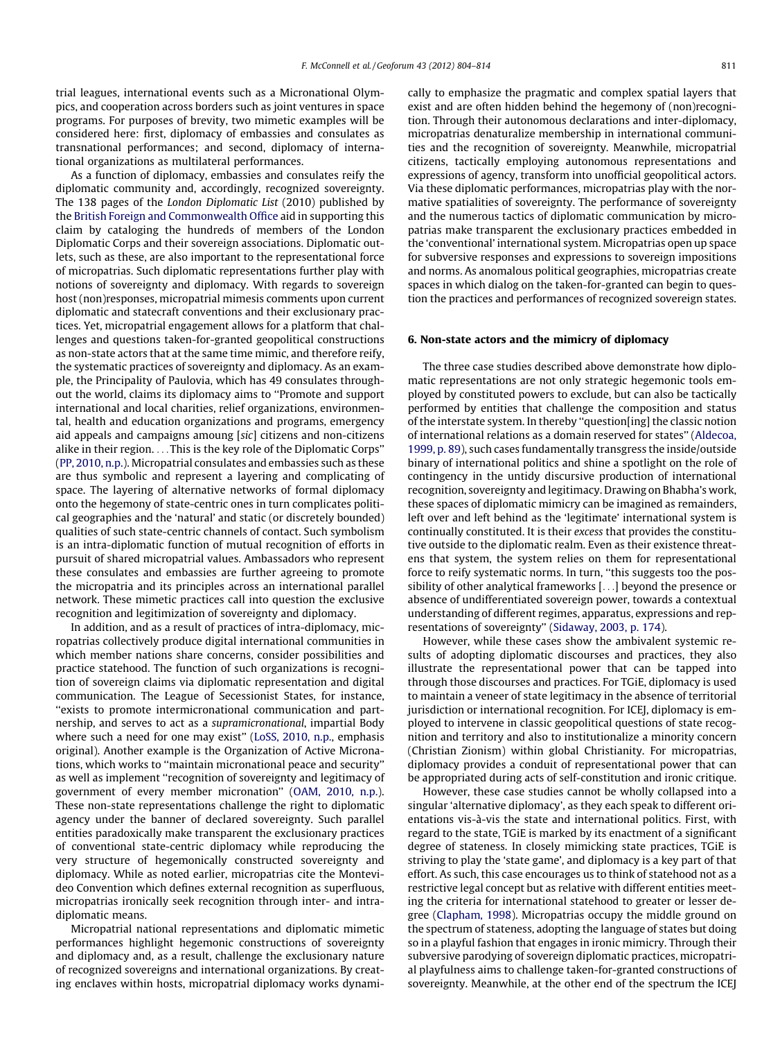trial leagues, international events such as a Micronational Olympics, and cooperation across borders such as joint ventures in space programs. For purposes of brevity, two mimetic examples will be considered here: first, diplomacy of embassies and consulates as transnational performances; and second, diplomacy of international organizations as multilateral performances.

As a function of diplomacy, embassies and consulates reify the diplomatic community and, accordingly, recognized sovereignty. The 138 pages of the London Diplomatic List (2010) published by the [British Foreign and Commonwealth Office](#page-8-0) aid in supporting this claim by cataloging the hundreds of members of the London Diplomatic Corps and their sovereign associations. Diplomatic outlets, such as these, are also important to the representational force of micropatrias. Such diplomatic representations further play with notions of sovereignty and diplomacy. With regards to sovereign host (non)responses, micropatrial mimesis comments upon current diplomatic and statecraft conventions and their exclusionary practices. Yet, micropatrial engagement allows for a platform that challenges and questions taken-for-granted geopolitical constructions as non-state actors that at the same time mimic, and therefore reify, the systematic practices of sovereignty and diplomacy. As an example, the Principality of Paulovia, which has 49 consulates throughout the world, claims its diplomacy aims to ''Promote and support international and local charities, relief organizations, environmental, health and education organizations and programs, emergency aid appeals and campaigns amoung [sic] citizens and non-citizens alike in their region. ...This is the key role of the Diplomatic Corps'' ([PP, 2010, n.p.\)](#page-9-0). Micropatrial consulates and embassies such as these are thus symbolic and represent a layering and complicating of space. The layering of alternative networks of formal diplomacy onto the hegemony of state-centric ones in turn complicates political geographies and the 'natural' and static (or discretely bounded) qualities of such state-centric channels of contact. Such symbolism is an intra-diplomatic function of mutual recognition of efforts in pursuit of shared micropatrial values. Ambassadors who represent these consulates and embassies are further agreeing to promote the micropatria and its principles across an international parallel network. These mimetic practices call into question the exclusive recognition and legitimization of sovereignty and diplomacy.

In addition, and as a result of practices of intra-diplomacy, micropatrias collectively produce digital international communities in which member nations share concerns, consider possibilities and practice statehood. The function of such organizations is recognition of sovereign claims via diplomatic representation and digital communication. The League of Secessionist States, for instance, ''exists to promote intermicronational communication and partnership, and serves to act as a supramicronational, impartial Body where such a need for one may exist" [\(LoSS, 2010, n.p.](#page-9-0), emphasis original). Another example is the Organization of Active Micronations, which works to ''maintain micronational peace and security'' as well as implement ''recognition of sovereignty and legitimacy of government of every member micronation'' [\(OAM, 2010, n.p.\)](#page-9-0). These non-state representations challenge the right to diplomatic agency under the banner of declared sovereignty. Such parallel entities paradoxically make transparent the exclusionary practices of conventional state-centric diplomacy while reproducing the very structure of hegemonically constructed sovereignty and diplomacy. While as noted earlier, micropatrias cite the Montevideo Convention which defines external recognition as superfluous, micropatrias ironically seek recognition through inter- and intradiplomatic means.

Micropatrial national representations and diplomatic mimetic performances highlight hegemonic constructions of sovereignty and diplomacy and, as a result, challenge the exclusionary nature of recognized sovereigns and international organizations. By creating enclaves within hosts, micropatrial diplomacy works dynamically to emphasize the pragmatic and complex spatial layers that exist and are often hidden behind the hegemony of (non)recognition. Through their autonomous declarations and inter-diplomacy, micropatrias denaturalize membership in international communities and the recognition of sovereignty. Meanwhile, micropatrial citizens, tactically employing autonomous representations and expressions of agency, transform into unofficial geopolitical actors. Via these diplomatic performances, micropatrias play with the normative spatialities of sovereignty. The performance of sovereignty and the numerous tactics of diplomatic communication by micropatrias make transparent the exclusionary practices embedded in the 'conventional' international system. Micropatrias open up space for subversive responses and expressions to sovereign impositions and norms. As anomalous political geographies, micropatrias create spaces in which dialog on the taken-for-granted can begin to question the practices and performances of recognized sovereign states.

#### 6. Non-state actors and the mimicry of diplomacy

The three case studies described above demonstrate how diplomatic representations are not only strategic hegemonic tools employed by constituted powers to exclude, but can also be tactically performed by entities that challenge the composition and status of the interstate system. In thereby ''question[ing] the classic notion of international relations as a domain reserved for states'' ([Aldecoa,](#page-8-0) [1999, p. 89\)](#page-8-0), such cases fundamentally transgress the inside/outside binary of international politics and shine a spotlight on the role of contingency in the untidy discursive production of international recognition, sovereignty and legitimacy. Drawing on Bhabha's work, these spaces of diplomatic mimicry can be imagined as remainders, left over and left behind as the 'legitimate' international system is continually constituted. It is their excess that provides the constitutive outside to the diplomatic realm. Even as their existence threatens that system, the system relies on them for representational force to reify systematic norms. In turn, ''this suggests too the possibility of other analytical frameworks [...] beyond the presence or absence of undifferentiated sovereign power, towards a contextual understanding of different regimes, apparatus, expressions and representations of sovereignty'' ([Sidaway, 2003, p. 174\)](#page-9-0).

However, while these cases show the ambivalent systemic results of adopting diplomatic discourses and practices, they also illustrate the representational power that can be tapped into through those discourses and practices. For TGiE, diplomacy is used to maintain a veneer of state legitimacy in the absence of territorial jurisdiction or international recognition. For ICEJ, diplomacy is employed to intervene in classic geopolitical questions of state recognition and territory and also to institutionalize a minority concern (Christian Zionism) within global Christianity. For micropatrias, diplomacy provides a conduit of representational power that can be appropriated during acts of self-constitution and ironic critique.

However, these case studies cannot be wholly collapsed into a singular 'alternative diplomacy', as they each speak to different orientations vis-à-vis the state and international politics. First, with regard to the state, TGiE is marked by its enactment of a significant degree of stateness. In closely mimicking state practices, TGiE is striving to play the 'state game', and diplomacy is a key part of that effort. As such, this case encourages us to think of statehood not as a restrictive legal concept but as relative with different entities meeting the criteria for international statehood to greater or lesser degree ([Clapham, 1998\)](#page-9-0). Micropatrias occupy the middle ground on the spectrum of stateness, adopting the language of states but doing so in a playful fashion that engages in ironic mimicry. Through their subversive parodying of sovereign diplomatic practices, micropatrial playfulness aims to challenge taken-for-granted constructions of sovereignty. Meanwhile, at the other end of the spectrum the ICEJ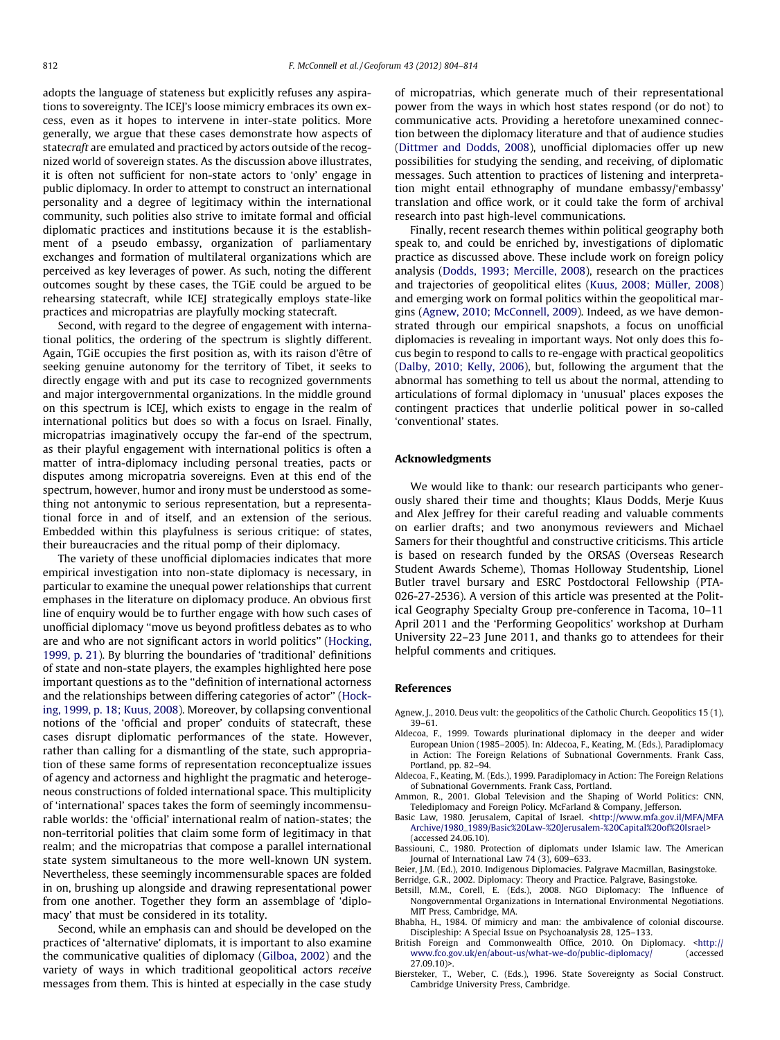<span id="page-8-0"></span>adopts the language of stateness but explicitly refuses any aspirations to sovereignty. The ICEJ's loose mimicry embraces its own excess, even as it hopes to intervene in inter-state politics. More generally, we argue that these cases demonstrate how aspects of statecraft are emulated and practiced by actors outside of the recognized world of sovereign states. As the discussion above illustrates, it is often not sufficient for non-state actors to 'only' engage in public diplomacy. In order to attempt to construct an international personality and a degree of legitimacy within the international community, such polities also strive to imitate formal and official diplomatic practices and institutions because it is the establishment of a pseudo embassy, organization of parliamentary exchanges and formation of multilateral organizations which are perceived as key leverages of power. As such, noting the different outcomes sought by these cases, the TGiE could be argued to be rehearsing statecraft, while ICEJ strategically employs state-like practices and micropatrias are playfully mocking statecraft.

Second, with regard to the degree of engagement with international politics, the ordering of the spectrum is slightly different. Again, TGiE occupies the first position as, with its raison d'être of seeking genuine autonomy for the territory of Tibet, it seeks to directly engage with and put its case to recognized governments and major intergovernmental organizations. In the middle ground on this spectrum is ICEJ, which exists to engage in the realm of international politics but does so with a focus on Israel. Finally, micropatrias imaginatively occupy the far-end of the spectrum, as their playful engagement with international politics is often a matter of intra-diplomacy including personal treaties, pacts or disputes among micropatria sovereigns. Even at this end of the spectrum, however, humor and irony must be understood as something not antonymic to serious representation, but a representational force in and of itself, and an extension of the serious. Embedded within this playfulness is serious critique: of states, their bureaucracies and the ritual pomp of their diplomacy.

The variety of these unofficial diplomacies indicates that more empirical investigation into non-state diplomacy is necessary, in particular to examine the unequal power relationships that current emphases in the literature on diplomacy produce. An obvious first line of enquiry would be to further engage with how such cases of unofficial diplomacy ''move us beyond profitless debates as to who are and who are not significant actors in world politics'' ([Hocking,](#page-9-0) [1999, p. 21](#page-9-0)). By blurring the boundaries of 'traditional' definitions of state and non-state players, the examples highlighted here pose important questions as to the ''definition of international actorness and the relationships between differing categories of actor'' [\(Hock](#page-9-0)[ing, 1999, p. 18; Kuus, 2008](#page-9-0)). Moreover, by collapsing conventional notions of the 'official and proper' conduits of statecraft, these cases disrupt diplomatic performances of the state. However, rather than calling for a dismantling of the state, such appropriation of these same forms of representation reconceptualize issues of agency and actorness and highlight the pragmatic and heterogeneous constructions of folded international space. This multiplicity of 'international' spaces takes the form of seemingly incommensurable worlds: the 'official' international realm of nation-states; the non-territorial polities that claim some form of legitimacy in that realm; and the micropatrias that compose a parallel international state system simultaneous to the more well-known UN system. Nevertheless, these seemingly incommensurable spaces are folded in on, brushing up alongside and drawing representational power from one another. Together they form an assemblage of 'diplomacy' that must be considered in its totality.

Second, while an emphasis can and should be developed on the practices of 'alternative' diplomats, it is important to also examine the communicative qualities of diplomacy [\(Gilboa, 2002\)](#page-9-0) and the variety of ways in which traditional geopolitical actors receive messages from them. This is hinted at especially in the case study

of micropatrias, which generate much of their representational power from the ways in which host states respond (or do not) to communicative acts. Providing a heretofore unexamined connection between the diplomacy literature and that of audience studies ([Dittmer and Dodds, 2008](#page-9-0)), unofficial diplomacies offer up new possibilities for studying the sending, and receiving, of diplomatic messages. Such attention to practices of listening and interpretation might entail ethnography of mundane embassy/'embassy' translation and office work, or it could take the form of archival research into past high-level communications.

Finally, recent research themes within political geography both speak to, and could be enriched by, investigations of diplomatic practice as discussed above. These include work on foreign policy analysis [\(Dodds, 1993; Mercille, 2008](#page-9-0)), research on the practices and trajectories of geopolitical elites ([Kuus, 2008; Müller, 2008\)](#page-9-0) and emerging work on formal politics within the geopolitical margins (Agnew, 2010; McConnell, 2009). Indeed, as we have demonstrated through our empirical snapshots, a focus on unofficial diplomacies is revealing in important ways. Not only does this focus begin to respond to calls to re-engage with practical geopolitics ([Dalby, 2010; Kelly, 2006](#page-9-0)), but, following the argument that the abnormal has something to tell us about the normal, attending to articulations of formal diplomacy in 'unusual' places exposes the contingent practices that underlie political power in so-called 'conventional' states.

#### Acknowledgments

We would like to thank: our research participants who generously shared their time and thoughts; Klaus Dodds, Merje Kuus and Alex Jeffrey for their careful reading and valuable comments on earlier drafts; and two anonymous reviewers and Michael Samers for their thoughtful and constructive criticisms. This article is based on research funded by the ORSAS (Overseas Research Student Awards Scheme), Thomas Holloway Studentship, Lionel Butler travel bursary and ESRC Postdoctoral Fellowship (PTA-026-27-2536). A version of this article was presented at the Political Geography Specialty Group pre-conference in Tacoma, 10–11 April 2011 and the 'Performing Geopolitics' workshop at Durham University 22–23 June 2011, and thanks go to attendees for their helpful comments and critiques.

#### References

- Agnew, J., 2010. Deus vult: the geopolitics of the Catholic Church. Geopolitics 15 (1), 39–61.
- Aldecoa, F., 1999. Towards plurinational diplomacy in the deeper and wider European Union (1985–2005). In: Aldecoa, F., Keating, M. (Eds.), Paradiplomacy in Action: The Foreign Relations of Subnational Governments. Frank Cass, Portland, pp. 82–94.
- Aldecoa, F., Keating, M. (Eds.), 1999. Paradiplomacy in Action: The Foreign Relations of Subnational Governments. Frank Cass, Portland.
- Ammon, R., 2001. Global Television and the Shaping of World Politics: CNN, Telediplomacy and Foreign Policy. McFarland & Company, Jefferson.
- Basic Law, 1980. Jerusalem, Capital of Israel. [<http://www.mfa.gov.il/MFA/MFA](http://www.mfa.gov.il/MFA/MFAArchive/1980_1989/Basic%20Law-%20Jerusalem-%20Capital%20of%20Israel) [Archive/1980\\_1989/Basic%20Law-%20Jerusalem-%20Capital%20of%20Israel](http://www.mfa.gov.il/MFA/MFAArchive/1980_1989/Basic%20Law-%20Jerusalem-%20Capital%20of%20Israel)> (accessed 24.06.10).
- Bassiouni, C., 1980. Protection of diplomats under Islamic law. The American Journal of International Law 74 (3), 609–633.
- Beier, J.M. (Ed.), 2010. Indigenous Diplomacies. Palgrave Macmillan, Basingstoke.
- Berridge, G.R., 2002. Diplomacy: Theory and Practice. Palgrave, Basingstoke.
- Betsill, M.M., Corell, E. (Eds.), 2008. NGO Diplomacy: The Influence of Nongovernmental Organizations in International Environmental Negotiations. MIT Press, Cambridge, MA.
- Bhabha, H., 1984. Of mimicry and man: the ambivalence of colonial discourse. Discipleship: A Special Issue on Psychoanalysis 28, 125–133.
- British Foreign and Commonwealth Office, 2010. On Diplomacy. [<http://](http://www.fco.gov.uk/en/about-us/what-we-do/public-diplomacy/) [www.fco.gov.uk/en/about-us/what-we-do/public-diplomacy/](http://www.fco.gov.uk/en/about-us/what-we-do/public-diplomacy/) (accessed  $27.09.10$
- Biersteker, T., Weber, C. (Eds.), 1996. State Sovereignty as Social Construct. Cambridge University Press, Cambridge.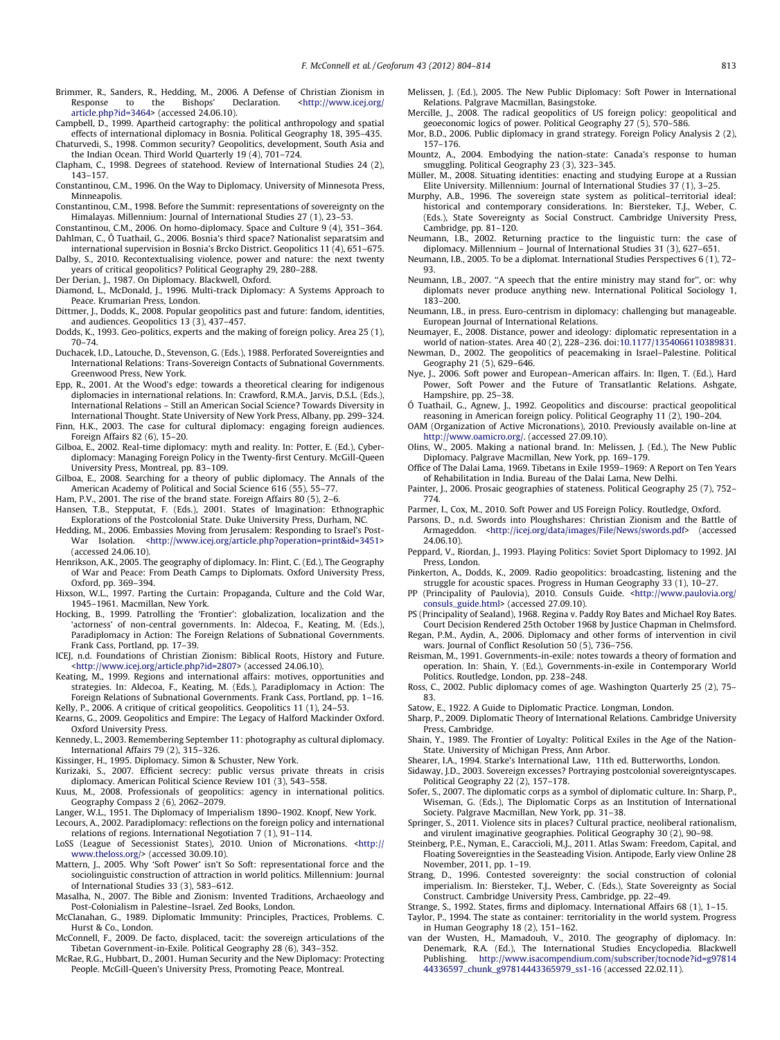- <span id="page-9-0"></span>Brimmer, R., Sanders, R., Hedding, M., 2006. A Defense of Christian Zionism in Response to the Bishops' Declaration. <http://www.icej.org/ Response to the Bishops' Declaration. [<http://www.icej.org/](http://www.icej.org/article.php?id=3464) [article.php?id=3464](http://www.icej.org/article.php?id=3464)> (accessed 24.06.10).
- Campbell, D., 1999. Apartheid cartography: the political anthropology and spatial effects of international diplomacy in Bosnia. Political Geography 18, 395–435. Chaturvedi, S., 1998. Common security? Geopolitics, development, South Asia and
- the Indian Ocean. Third World Quarterly 19 (4), 701–724. Clapham, C., 1998. Degrees of statehood. Review of International Studies 24 (2),
- 143–157. Constantinou, C.M., 1996. On the Way to Diplomacy. University of Minnesota Press,
- Minneapolis. Constantinou, C.M., 1998. Before the Summit: representations of sovereignty on the Himalayas. Millennium: Journal of International Studies 27 (1), 23–53.
- Constantinou, C.M., 2006. On homo-diplomacy. Space and Culture 9 (4), 351–364.
- Dahlman, C., Ó Tuathail, G., 2006. Bosnia's third space? Nationalist separatsim and international supervision in Bosnia's Brcko District. Geopolitics 11 (4), 651–675.
- Dalby, S., 2010. Recontextualising violence, power and nature: the next twenty years of critical geopolitics? Political Geography 29, 280–288.
- Der Derian, J., 1987. On Diplomacy. Blackwell, Oxford.
- Diamond, L., McDonald, J., 1996. Multi-track Diplomacy: A Systems Approach to Peace. Krumarian Press, London.
- Dittmer, J., Dodds, K., 2008. Popular geopolitics past and future: fandom, identities, and audiences. Geopolitics 13 (3), 437–457.
- Dodds, K., 1993. Geo-politics, experts and the making of foreign policy. Area 25 (1), 70–74.
- Duchacek, I.D., Latouche, D., Stevenson, G. (Eds.), 1988. Perforated Sovereignties and International Relations: Trans-Sovereign Contacts of Subnational Governments. Greenwood Press, New York.
- Epp, R., 2001. At the Wood's edge: towards a theoretical clearing for indigenous diplomacies in international relations. In: Crawford, R.M.A., Jarvis, D.S.L. (Eds.), International Relations – Still an American Social Science? Towards Diversity in International Thought. State University of New York Press, Albany, pp. 299–324.
- Finn, H.K., 2003. The case for cultural diplomacy: engaging foreign audiences. Foreign Affairs 82 (6), 15–20.
- Gilboa, E., 2002. Real-time diplomacy: myth and reality. In: Potter, E. (Ed.), Cyberdiplomacy: Managing Foreign Policy in the Twenty-first Century. McGill-Queen University Press, Montreal, pp. 83–109.
- Gilboa, E., 2008. Searching for a theory of public diplomacy. The Annals of the American Academy of Political and Social Science 616 (55), 55–77.
- Ham, P.V., 2001. The rise of the brand state. Foreign Affairs 80 (5), 2–6.
- Hansen, T.B., Stepputat, F. (Eds.), 2001. States of Imagination: Ethnographic Explorations of the Postcolonial State. Duke University Press, Durham, NC.
- Hedding, M., 2006. Embassies Moving from Jerusalem: Responding to Israel's Post-War Isolation. <[http://www.icej.org/article.php?operation=print&id=3451>](http://www.icej.org/article.php?operation=print&id=3451) (accessed 24.06.10).
- Henrikson, A.K., 2005. The geography of diplomacy. In: Flint, C. (Ed.), The Geography of War and Peace: From Death Camps to Diplomats. Oxford University Press, Oxford, pp. 369–394.
- Hixson, W.L., 1997. Parting the Curtain: Propaganda, Culture and the Cold War, 1945–1961. Macmillan, New York.
- Hocking, B., 1999. Patrolling the 'Frontier': globalization, localization and the 'actorness' of non-central governments. In: Aldecoa, F., Keating, M. (Eds.), Paradiplomacy in Action: The Foreign Relations of Subnational Governments. Frank Cass, Portland, pp. 17–39. ICEJ, n.d. Foundations of Christian Zionism: Biblical Roots, History and Future.
- [<http://www.icej.org/article.php?id=2807>](http://www.icej.org/article.php?id=2807) (accessed 24.06.10).
- Keating, M., 1999. Regions and international affairs: motives, opportunities and strategies. In: Aldecoa, F., Keating, M. (Eds.), Paradiplomacy in Action: The Foreign Relations of Subnational Governments. Frank Cass, Portland, pp. 1–16.
- Kelly, P., 2006. A critique of critical geopolitics. Geopolitics 11 (1), 24–53. Kearns, G., 2009. Geopolitics and Empire: The Legacy of Halford Mackinder Oxford.
- Oxford University Press. Kennedy, L., 2003. Remembering September 11: photography as cultural diplomacy.
- International Affairs 79 (2), 315–326.
- Kissinger, H., 1995. Diplomacy. Simon & Schuster, New York.
- Kurizaki, S., 2007. Efficient secrecy: public versus private threats in crisis diplomacy. American Political Science Review 101 (3), 543–558.
- Kuus, M., 2008. Professionals of geopolitics: agency in international politics. Geography Compass 2 (6), 2062–2079.
- Langer, W.L., 1951. The Diplomacy of Imperialism 1890–1902. Knopf, New York.
- Lecours, A., 2002. Paradiplomacy: reflections on the foreign policy and international relations of regions. International Negotiation 7 (1), 91–114.
- LoSS (League of Secessionist States), 2010. Union of Micronations. <[http://](http://www.theloss.org/) [www.theloss.org/>](http://www.theloss.org/) (accessed 30.09.10).
- Mattern, J., 2005. Why 'Soft Power' isn't So Soft: representational force and the sociolinguistic construction of attraction in world politics. Millennium: Journal of International Studies 33 (3), 583–612.
- Masalha, N., 2007. The Bible and Zionism: Invented Traditions, Archaeology and Post-Colonialism in Palestine–Israel. Zed Books, London.
- McClanahan, G., 1989. Diplomatic Immunity: Principles, Practices, Problems. C. Hurst & Co., London.
- McConnell, F., 2009. De facto, displaced, tacit: the sovereign articulations of the Tibetan Government-in-Exile. Political Geography 28 (6), 343–352.
- McRae, R.G., Hubbart, D., 2001. Human Security and the New Diplomacy: Protecting People. McGill-Queen's University Press, Promoting Peace, Montreal.
- Melissen, J. (Ed.), 2005. The New Public Diplomacy: Soft Power in International Relations. Palgrave Macmillan, Basingstoke.
- Mercille, J., 2008. The radical geopolitics of US foreign policy: geopolitical and geoeconomic logics of power. Political Geography 27 (5), 570–586.
- Mor, B.D., 2006. Public diplomacy in grand strategy. Foreign Policy Analysis 2 (2), 157–176.
- Mountz, A., 2004. Embodying the nation-state: Canada's response to human smuggling. Political Geography 23 (3), 323–345.
- Müller, M., 2008. Situating identities: enacting and studying Europe at a Russian Elite University. Millennium: Journal of International Studies 37 (1), 3–25.
- Murphy, A.B., 1996. The sovereign state system as political–territorial ideal: historical and contemporary considerations. In: Biersteker, T.J., Weber, C. (Eds.), State Sovereignty as Social Construct. Cambridge University Press, Cambridge, pp. 81-120.
- Neumann, I.B., 2002. Returning practice to the linguistic turn: the case of diplomacy. Millennium – Journal of International Studies 31 (3), 627–651.
- Neumann, I.B., 2005. To be a diplomat. International Studies Perspectives 6 (1), 72– 93.
- Neumann, I.B., 2007. "A speech that the entire ministry may stand for", or: why diplomats never produce anything new. International Political Sociology 1, 183–200.
- Neumann, I.B., in press. Euro-centrism in diplomacy: challenging but manageable. European Journal of International Relations.
- Neumayer, E., 2008. Distance, power and ideology: diplomatic representation in a world of nation-states. Area 40 (2), 228–236. doi[:10.1177/1354066110389831.](http://dx.doi.org/10.1177/1354066110389831)
- Newman, D., 2002. The geopolitics of peacemaking in Israel–Palestine. Political Geography 21 (5), 629–646.
- Nye, J., 2006. Soft power and European–American affairs. In: Ilgen, T. (Ed.), Hard Power, Soft Power and the Future of Transatlantic Relations. Ashgate, Hampshire, pp. 25–38.
- Ó Tuathail, G., Agnew, J., 1992. Geopolitics and discourse: practical geopolitical reasoning in American foreign policy. Political Geography 11 (2), 190–204.
- OAM (Organization of Active Micronations), 2010. Previously available on-line at [http://www.oamicro.org/.](http://www.oamicro.org/) (accessed 27.09.10).
- Olins, W., 2005. Making a national brand. In: Melissen, J. (Ed.), The New Public Diplomacy. Palgrave Macmillan, New York, pp. 169–179.
- Office of The Dalai Lama, 1969. Tibetans in Exile 1959–1969: A Report on Ten Years of Rehabilitation in India. Bureau of the Dalai Lama, New Delhi.
- Painter, J., 2006. Prosaic geographies of stateness. Political Geography 25 (7), 752– 774.
- Parmer, I., Cox, M., 2010. Soft Power and US Foreign Policy. Routledge, Oxford.
- Parsons, D., n.d. Swords into Ploughshares: Christian Zionism and the Battle of Armageddon. <<http://icej.org/data/images/File/News/swords.pdf>> (accessed 24.06.10).
- Peppard, V., Riordan, J., 1993. Playing Politics: Soviet Sport Diplomacy to 1992. JAI Press, London.
- Pinkerton, A., Dodds, K., 2009. Radio geopolitics: broadcasting, listening and the struggle for acoustic spaces. Progress in Human Geography 33 (1), 10–27.
- PP (Principality of Paulovia), 2010. Consuls Guide. <[http://www.paulovia.org/](http://www.paulovia.org/consuls_guide.html) [consuls\\_guide.html](http://www.paulovia.org/consuls_guide.html)> (accessed 27.09.10).
- PS (Principality of Sealand), 1968. Regina v. Paddy Roy Bates and Michael Roy Bates. Court Decision Rendered 25th October 1968 by Justice Chapman in Chelmsford.
- Regan, P.M., Aydin, A., 2006. Diplomacy and other forms of intervention in civil wars. Journal of Conflict Resolution 50 (5), 736–756.
- Reisman, M., 1991. Governments-in-exile: notes towards a theory of formation and operation. In: Shain, Y. (Ed.), Governments-in-exile in Contemporary World Politics. Routledge, London, pp. 238–248.
- Ross, C., 2002. Public diplomacy comes of age. Washington Quarterly 25 (2), 75– 83.
- Satow, E., 1922. A Guide to Diplomatic Practice. Longman, London.
- Sharp, P., 2009. Diplomatic Theory of International Relations. Cambridge University Press, Cambridge.
- Shain, Y., 1989. The Frontier of Loyalty: Political Exiles in the Age of the Nation-State. University of Michigan Press, Ann Arbor.
- Shearer, I.A., 1994. Starke's International Law, 11th ed. Butterworths, London.
- Sidaway, J.D., 2003. Sovereign excesses? Portraying postcolonial sovereigntyscapes.
- Political Geography 22 (2), 157–178. Sofer, S., 2007. The diplomatic corps as a symbol of diplomatic culture. In: Sharp, P.,
- Wiseman, G. (Eds.), The Diplomatic Corps as an Institution of International Society. Palgrave Macmillan, New York, pp. 31–38.
- Springer, S., 2011. Violence sits in places? Cultural practice, neoliberal rationalism, and virulent imaginative geographies. Political Geography 30 (2), 90–98.
- Steinberg, P.E., Nyman, E., Caraccioli, M.J., 2011. Atlas Swam: Freedom, Capital, and Floating Sovereignties in the Seasteading Vision. Antipode, Early view Online 28 November, 2011, pp. 1–19.
- Strang, D., 1996. Contested sovereignty: the social construction of colonial imperialism. In: Biersteker, T.J., Weber, C. (Eds.), State Sovereignty as Social Construct. Cambridge University Press, Cambridge, pp. 22–49.
- Strange, S., 1992. States, firms and diplomacy. International Affairs 68 (1), 1–15.
- Taylor, P., 1994. The state as container: territoriality in the world system. Progress in Human Geography 18 (2), 151–162.
- van der Wusten, H., Mamadouh, V., 2010. The geography of diplomacy. In: Denemark, R.A. (Ed.), The International Studies Encyclopedia. Blackwell Publishing. [http://www.isacompendium.com/subscriber/tocnode?id=g97814](http://www.isacompendium.com/subscriber/tocnode?id=g9781444336597_chunk_g97814443365979_ss1-16) [44336597\\_chunk\\_g97814443365979\\_ss1-16](http://www.isacompendium.com/subscriber/tocnode?id=g9781444336597_chunk_g97814443365979_ss1-16) (accessed 22.02.11).